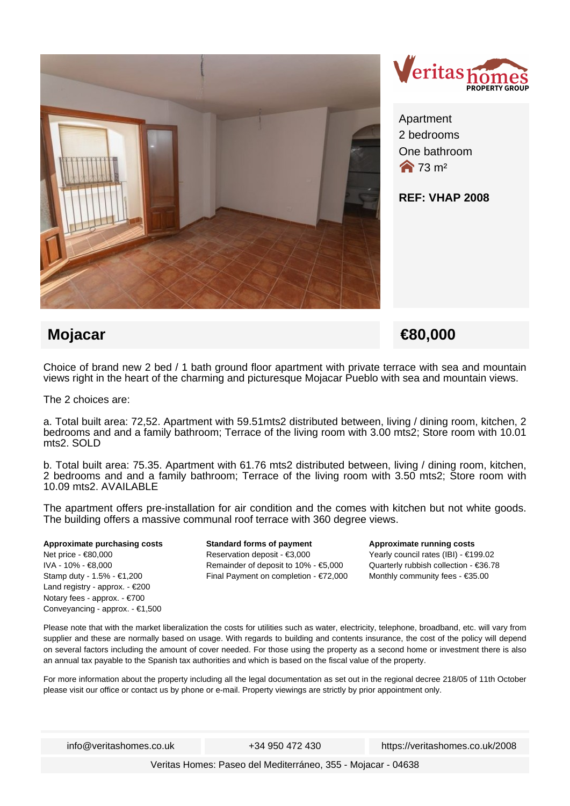



Apartment 2 bedrooms One bathroom  $\bigotimes$  73 m<sup>2</sup>

## **REF: VHAP 2008**

## **Mojacar** <del>€80,000</del>

Choice of brand new 2 bed / 1 bath ground floor apartment with private terrace with sea and mountain views right in the heart of the charming and picturesque Mojacar Pueblo with sea and mountain views.

The 2 choices are:

a. Total built area: 72,52. Apartment with 59.51mts2 distributed between, living / dining room, kitchen, 2 bedrooms and and a family bathroom; Terrace of the living room with 3.00 mts2; Store room with 10.01 mts2. SOLD

b. Total built area: 75.35. Apartment with 61.76 mts2 distributed between, living / dining room, kitchen, 2 bedrooms and and a family bathroom; Terrace of the living room with 3.50 mts2; Store room with 10.09 mts2. AVAILABLE

The apartment offers pre-installation for air condition and the comes with kitchen but not white goods. The building offers a massive communal roof terrace with 360 degree views.

#### **Approximate purchasing costs** Net price - €80,000 IVA - 10% - €8,000 Stamp duty - 1.5% - €1,200 Land registry - approx. - €200 Notary fees - approx. - €700

Conveyancing - approx. - €1,500

**Standard forms of payment** Reservation deposit - €3,000 Remainder of deposit to 10% - €5,000 Final Payment on completion - €72,000

### **Approximate running costs** Yearly council rates (IBI) - €199.02 Quarterly rubbish collection - €36.78 Monthly community fees - €35.00

Please note that with the market liberalization the costs for utilities such as water, electricity, telephone, broadband, etc. will vary from supplier and these are normally based on usage. With regards to building and contents insurance, the cost of the policy will depend on several factors including the amount of cover needed. For those using the property as a second home or investment there is also an annual tax payable to the Spanish tax authorities and which is based on the fiscal value of the property.

For more information about the property including all the legal documentation as set out in the regional decree 218/05 of 11th October please visit our office or contact us by phone or e-mail. Property viewings are strictly by prior appointment only.

info@veritashomes.co.uk +34 950 472 430 https://veritashomes.co.uk/2008

Veritas Homes: Paseo del Mediterráneo, 355 - Mojacar - 04638